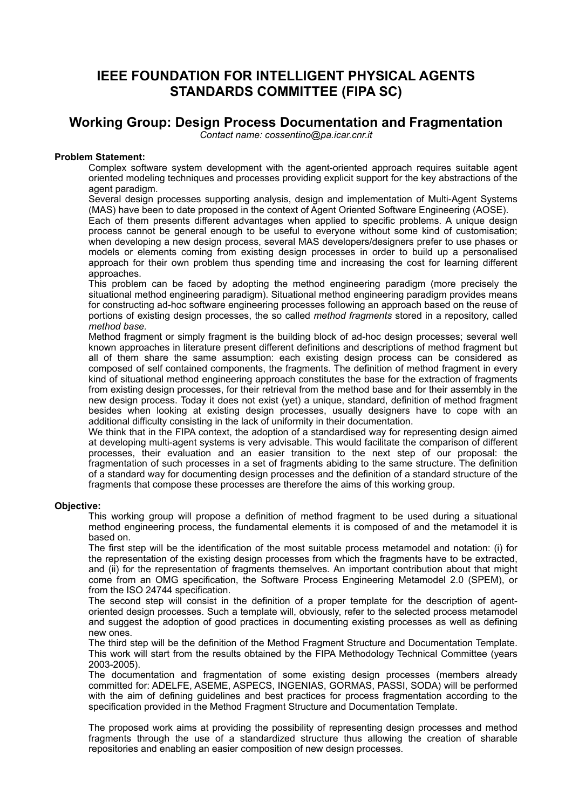# **IEEE FOUNDATION FOR INTELLIGENT PHYSICAL AGENTS STANDARDS COMMITTEE (FIPA SC)**

## **Working Group: Design Process Documentation and Fragmentation**

*Contact name: cossentino@pa.icar.cnr.it*

## **Problem Statement:**

Complex software system development with the agent-oriented approach requires suitable agent oriented modeling techniques and processes providing explicit support for the key abstractions of the agent paradigm.

Several design processes supporting analysis, design and implementation of Multi-Agent Systems (MAS) have been to date proposed in the context of Agent Oriented Software Engineering (AOSE).

Each of them presents different advantages when applied to specific problems. A unique design process cannot be general enough to be useful to everyone without some kind of customisation; when developing a new design process, several MAS developers/designers prefer to use phases or models or elements coming from existing design processes in order to build up a personalised approach for their own problem thus spending time and increasing the cost for learning different approaches.

This problem can be faced by adopting the method engineering paradigm (more precisely the situational method engineering paradigm). Situational method engineering paradigm provides means for constructing ad-hoc software engineering processes following an approach based on the reuse of portions of existing design processes, the so called *method fragments* stored in a repository, called *method base.*

Method fragment or simply fragment is the building block of ad-hoc design processes; several well known approaches in literature present different definitions and descriptions of method fragment but all of them share the same assumption: each existing design process can be considered as composed of self contained components, the fragments. The definition of method fragment in every kind of situational method engineering approach constitutes the base for the extraction of fragments from existing design processes, for their retrieval from the method base and for their assembly in the new design process. Today it does not exist (yet) a unique, standard, definition of method fragment besides when looking at existing design processes, usually designers have to cope with an additional difficulty consisting in the lack of uniformity in their documentation.

We think that in the FIPA context, the adoption of a standardised way for representing design aimed at developing multi-agent systems is very advisable. This would facilitate the comparison of different processes, their evaluation and an easier transition to the next step of our proposal: the fragmentation of such processes in a set of fragments abiding to the same structure. The definition of a standard way for documenting design processes and the definition of a standard structure of the fragments that compose these processes are therefore the aims of this working group.

#### **Objective:**

This working group will propose a definition of method fragment to be used during a situational method engineering process, the fundamental elements it is composed of and the metamodel it is based on.

The first step will be the identification of the most suitable process metamodel and notation: (i) for the representation of the existing design processes from which the fragments have to be extracted, and (ii) for the representation of fragments themselves. An important contribution about that might come from an OMG specification, the Software Process Engineering Metamodel 2.0 (SPEM), or from the ISO 24744 specification.

The second step will consist in the definition of a proper template for the description of agentoriented design processes. Such a template will, obviously, refer to the selected process metamodel and suggest the adoption of good practices in documenting existing processes as well as defining new ones.

The third step will be the definition of the Method Fragment Structure and Documentation Template. This work will start from the results obtained by the FIPA Methodology Technical Committee (years 2003-2005).

The documentation and fragmentation of some existing design processes (members already committed for: ADELFE, ASEME, ASPECS, INGENIAS, GORMAS, PASSI, SODA) will be performed with the aim of defining guidelines and best practices for process fragmentation according to the specification provided in the Method Fragment Structure and Documentation Template.

The proposed work aims at providing the possibility of representing design processes and method fragments through the use of a standardized structure thus allowing the creation of sharable repositories and enabling an easier composition of new design processes.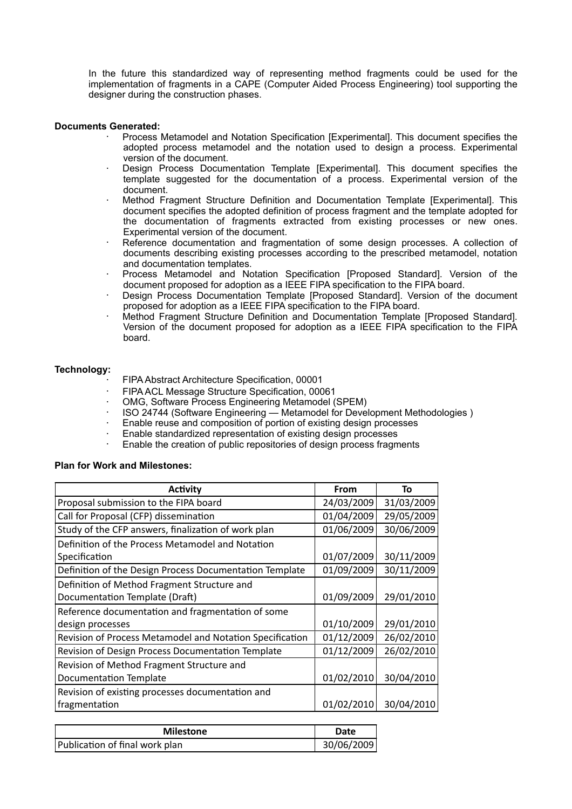In the future this standardized way of representing method fragments could be used for the implementation of fragments in a CAPE (Computer Aided Process Engineering) tool supporting the designer during the construction phases.

#### **Documents Generated:**

- · Process Metamodel and Notation Specification [Experimental]. This document specifies the adopted process metamodel and the notation used to design a process. Experimental version of the document.
- Design Process Documentation Template [Experimental]. This document specifies the template suggested for the documentation of a process. Experimental version of the document.
- Method Fragment Structure Definition and Documentation Template [Experimental]. This document specifies the adopted definition of process fragment and the template adopted for the documentation of fragments extracted from existing processes or new ones. Experimental version of the document.
- Reference documentation and fragmentation of some design processes. A collection of documents describing existing processes according to the prescribed metamodel, notation and documentation templates.
- Process Metamodel and Notation Specification [Proposed Standard]. Version of the document proposed for adoption as a IEEE FIPA specification to the FIPA board.
- Design Process Documentation Template [Proposed Standard]. Version of the document proposed for adoption as a IEEE FIPA specification to the FIPA board.
- Method Fragment Structure Definition and Documentation Template [Proposed Standard]. Version of the document proposed for adoption as a IEEE FIPA specification to the FIPA board.

### **Technology:**

- · FIPA Abstract Architecture Specification, 00001
- FIPA ACL Message Structure Specification, 00061
- · OMG, Software Process Engineering Metamodel (SPEM)
- · ISO 24744 (Software Engineering Metamodel for Development Methodologies )
- Enable reuse and composition of portion of existing design processes
- · Enable standardized representation of existing design processes
- Enable the creation of public repositories of design process fragments

#### **Plan for Work and Milestones:**

| <b>Activity</b>                                          | <b>From</b> | To         |
|----------------------------------------------------------|-------------|------------|
| Proposal submission to the FIPA board                    | 24/03/2009  | 31/03/2009 |
| Call for Proposal (CFP) dissemination                    | 01/04/2009  | 29/05/2009 |
| Study of the CFP answers, finalization of work plan      | 01/06/2009  | 30/06/2009 |
| Definition of the Process Metamodel and Notation         |             |            |
| Specification                                            | 01/07/2009  | 30/11/2009 |
| Definition of the Design Process Documentation Template  | 01/09/2009  | 30/11/2009 |
| Definition of Method Fragment Structure and              |             |            |
| Documentation Template (Draft)                           | 01/09/2009  | 29/01/2010 |
| Reference documentation and fragmentation of some        |             |            |
| design processes                                         | 01/10/2009  | 29/01/2010 |
| Revision of Process Metamodel and Notation Specification | 01/12/2009  | 26/02/2010 |
| Revision of Design Process Documentation Template        | 01/12/2009  | 26/02/2010 |
| Revision of Method Fragment Structure and                |             |            |
| <b>Documentation Template</b>                            | 01/02/2010  | 30/04/2010 |
| Revision of existing processes documentation and         |             |            |
| fragmentation                                            | 01/02/2010  | 30/04/2010 |

| <b>Milestone</b>               | Date       |
|--------------------------------|------------|
| Publication of final work plan | 30/06/2009 |